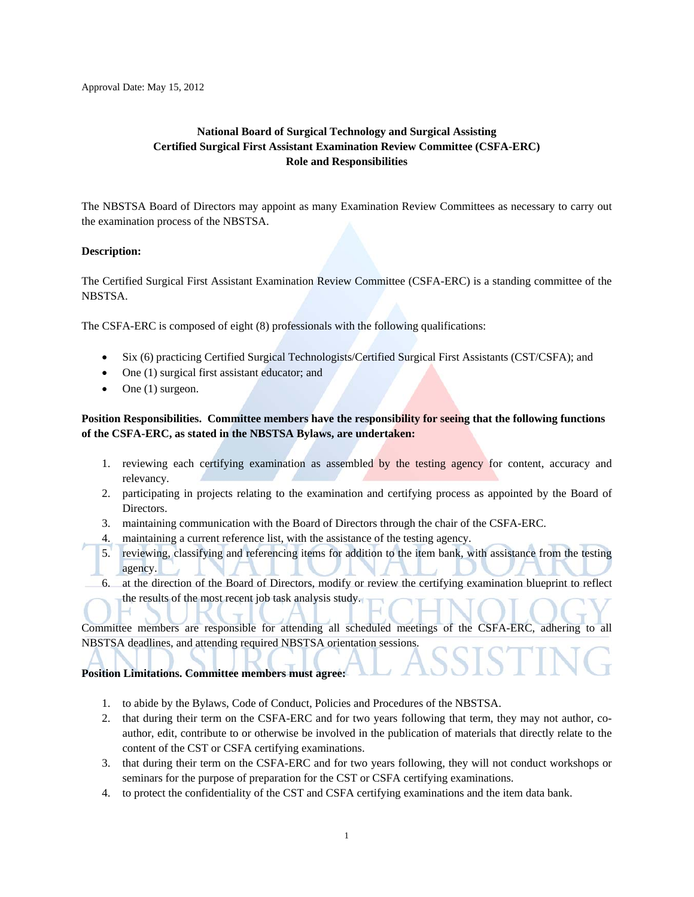Approval Date: May 15, 2012

## **National Board of Surgical Technology and Surgical Assisting Certified Surgical First Assistant Examination Review Committee (CSFA-ERC) Role and Responsibilities**

The NBSTSA Board of Directors may appoint as many Examination Review Committees as necessary to carry out the examination process of the NBSTSA.

### **Description:**

The Certified Surgical First Assistant Examination Review Committee (CSFA-ERC) is a standing committee of the NBSTSA.

The CSFA-ERC is composed of eight (8) professionals with the following qualifications:

- Six (6) practicing Certified Surgical Technologists/Certified Surgical First Assistants (CST/CSFA); and
- One (1) surgical first assistant educator; and
- $\bullet$  One (1) surgeon.

## **Position Responsibilities. Committee members have the responsibility for seeing that the following functions of the CSFA-ERC, as stated in the NBSTSA Bylaws, are undertaken:**

- 1. reviewing each certifying examination as assembled by the testing agency for content, accuracy and relevancy.
- 2. participating in projects relating to the examination and certifying process as appointed by the Board of Directors.
- 3. maintaining communication with the Board of Directors through the chair of the CSFA-ERC.
- 4. maintaining a current reference list, with the assistance of the testing agency.
- 5. reviewing, classifying and referencing items for addition to the item bank, with assistance from the testing agency.
- 6. at the direction of the Board of Directors, modify or review the certifying examination blueprint to reflect the results of the most recent job task analysis study.

Committee members are responsible for attending all scheduled meetings of the CSFA-ERC, adhering to all NBSTSA deadlines, and attending required NBSTSA orientation sessions.

#### **Position Limitations. Committee members must agree:**

- 1. to abide by the Bylaws, Code of Conduct, Policies and Procedures of the NBSTSA.
- 2. that during their term on the CSFA-ERC and for two years following that term, they may not author, coauthor, edit, contribute to or otherwise be involved in the publication of materials that directly relate to the content of the CST or CSFA certifying examinations.
- 3. that during their term on the CSFA-ERC and for two years following, they will not conduct workshops or seminars for the purpose of preparation for the CST or CSFA certifying examinations.
- 4. to protect the confidentiality of the CST and CSFA certifying examinations and the item data bank.